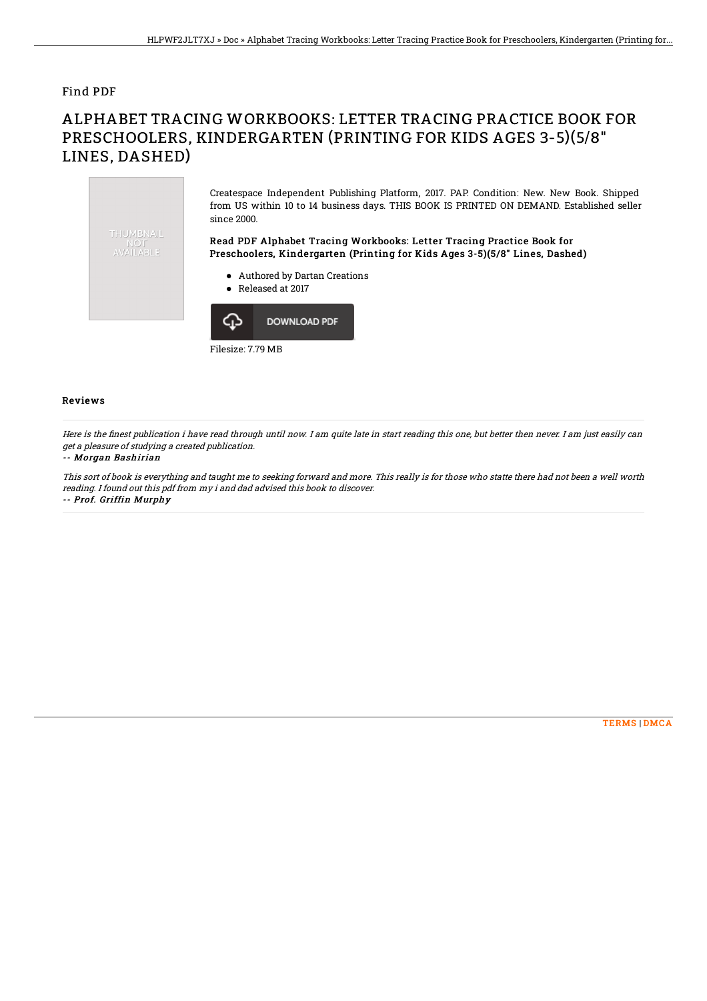### Find PDF

# ALPHABET TRACING WORKBOOKS: LETTER TRACING PRACTICE BOOK FOR PRESCHOOLERS, KINDERGARTEN (PRINTING FOR KIDS AGES 3-5)(5/8" LINES, DASHED)



Filesize: 7.79 MB

#### Reviews

Here is the finest publication i have read through until now. I am quite late in start reading this one, but better then never. I am just easily can get <sup>a</sup> pleasure of studying <sup>a</sup> created publication.

#### -- Morgan Bashirian

This sort of book is everything and taught me to seeking forward and more. This really is for those who statte there had not been <sup>a</sup> well worth reading. I found out this pdf from my i and dad advised this book to discover. -- Prof. Griffin Murphy